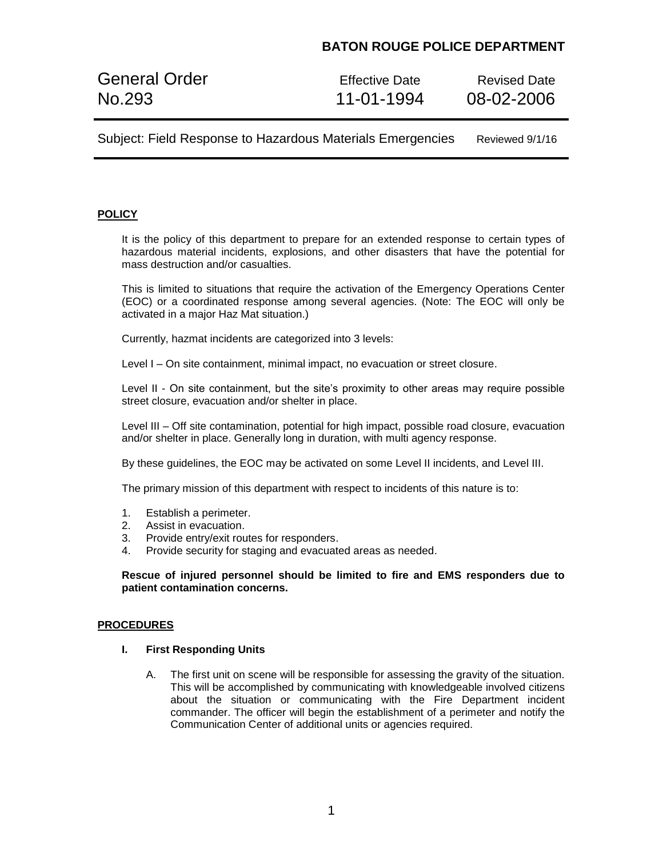## **BATON ROUGE POLICE DEPARTMENT**

General Order **Effective Date** Revised Date No.293 11-01-1994 08-02-2006

Subject: Field Response to Hazardous Materials Emergencies Reviewed 9/1/16

## **POLICY**

It is the policy of this department to prepare for an extended response to certain types of hazardous material incidents, explosions, and other disasters that have the potential for mass destruction and/or casualties.

This is limited to situations that require the activation of the Emergency Operations Center (EOC) or a coordinated response among several agencies. (Note: The EOC will only be activated in a major Haz Mat situation.)

Currently, hazmat incidents are categorized into 3 levels:

Level I – On site containment, minimal impact, no evacuation or street closure.

Level II - On site containment, but the site's proximity to other areas may require possible street closure, evacuation and/or shelter in place.

Level III – Off site contamination, potential for high impact, possible road closure, evacuation and/or shelter in place. Generally long in duration, with multi agency response.

By these guidelines, the EOC may be activated on some Level II incidents, and Level III.

The primary mission of this department with respect to incidents of this nature is to:

- 1. Establish a perimeter.
- 2. Assist in evacuation.
- 3. Provide entry/exit routes for responders.
- 4. Provide security for staging and evacuated areas as needed.

**Rescue of injured personnel should be limited to fire and EMS responders due to patient contamination concerns.**

### **PROCEDURES**

#### **I. First Responding Units**

A. The first unit on scene will be responsible for assessing the gravity of the situation. This will be accomplished by communicating with knowledgeable involved citizens about the situation or communicating with the Fire Department incident commander. The officer will begin the establishment of a perimeter and notify the Communication Center of additional units or agencies required.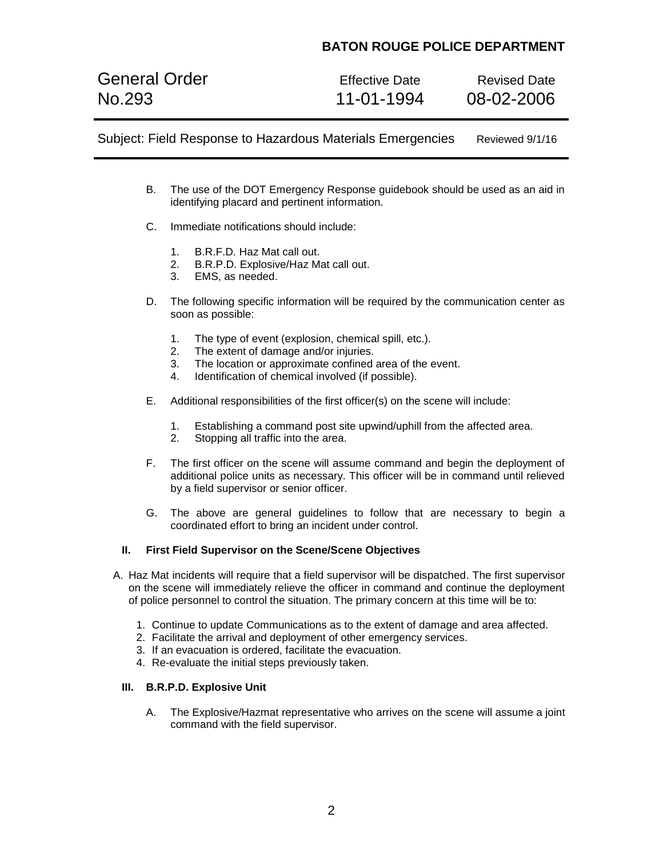# **BATON ROUGE POLICE DEPARTMENT**

General Order **Effective Date** Revised Date No.293 11-01-1994 08-02-2006

Subject: Field Response to Hazardous Materials Emergencies Reviewed 9/1/16

- B. The use of the DOT Emergency Response guidebook should be used as an aid in identifying placard and pertinent information.
- C. Immediate notifications should include:
	- 1. B.R.F.D. Haz Mat call out.
	- 2. B.R.P.D. Explosive/Haz Mat call out.
	- 3. EMS, as needed.
- D. The following specific information will be required by the communication center as soon as possible:
	- 1. The type of event (explosion, chemical spill, etc.).
	- 2. The extent of damage and/or injuries.
	- 3. The location or approximate confined area of the event.
	- 4. Identification of chemical involved (if possible).
- E. Additional responsibilities of the first officer(s) on the scene will include:
	- 1. Establishing a command post site upwind/uphill from the affected area.
	- 2. Stopping all traffic into the area.
- F. The first officer on the scene will assume command and begin the deployment of additional police units as necessary. This officer will be in command until relieved by a field supervisor or senior officer.
- G. The above are general guidelines to follow that are necessary to begin a coordinated effort to bring an incident under control.

### **II. First Field Supervisor on the Scene/Scene Objectives**

- A. Haz Mat incidents will require that a field supervisor will be dispatched. The first supervisor on the scene will immediately relieve the officer in command and continue the deployment of police personnel to control the situation. The primary concern at this time will be to:
	- 1. Continue to update Communications as to the extent of damage and area affected.
	- 2. Facilitate the arrival and deployment of other emergency services.
	- 3. If an evacuation is ordered, facilitate the evacuation.
	- 4. Re-evaluate the initial steps previously taken.

## **III. B.R.P.D. Explosive Unit**

A. The Explosive/Hazmat representative who arrives on the scene will assume a joint command with the field supervisor.